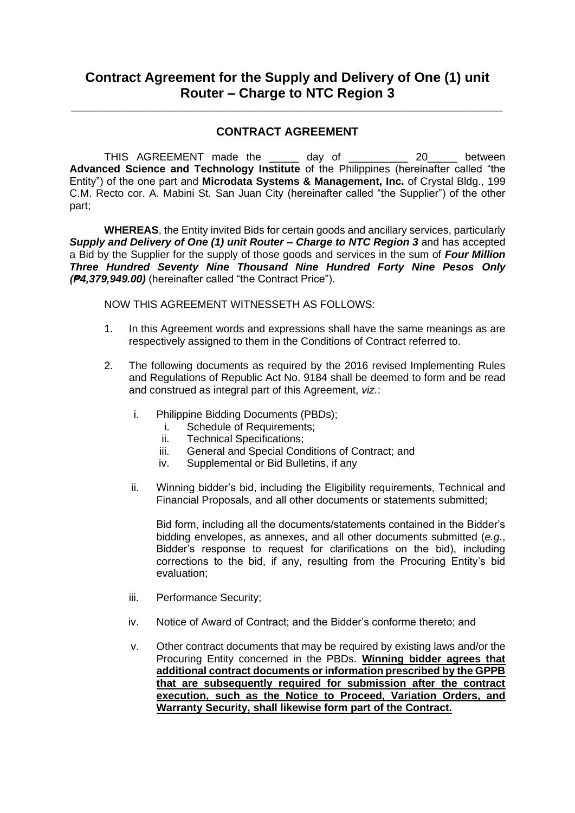# **Contract Agreement for the Supply and Delivery of One (1) unit Router – Charge to NTC Region 3**

*\_\_\_\_\_\_\_\_\_\_\_\_\_\_\_\_\_\_\_\_\_\_\_\_\_\_\_\_\_\_\_\_\_\_\_\_\_\_\_\_\_\_\_\_\_\_\_\_\_\_\_\_\_\_\_\_\_\_\_\_\_\_\_\_\_\_\_\_\_\_\_\_\_*

# **CONTRACT AGREEMENT**

THIS AGREEMENT made the \_\_\_\_\_ day of \_\_\_\_\_\_\_\_\_\_ 20\_\_\_\_\_ between **Advanced Science and Technology Institute** of the Philippines (hereinafter called "the Entity") of the one part and **Microdata Systems & Management, Inc.** of Crystal Bldg., 199 C.M. Recto cor. A. Mabini St. San Juan City (hereinafter called "the Supplier") of the other part;

**WHEREAS**, the Entity invited Bids for certain goods and ancillary services, particularly *Supply and Delivery of One (1) unit Router – Charge to NTC Region 3* and has accepted a Bid by the Supplier for the supply of those goods and services in the sum of *Four Million Three Hundred Seventy Nine Thousand Nine Hundred Forty Nine Pesos Only (₱4,379,949.00)* (hereinafter called "the Contract Price").

NOW THIS AGREEMENT WITNESSETH AS FOLLOWS:

- 1. In this Agreement words and expressions shall have the same meanings as are respectively assigned to them in the Conditions of Contract referred to.
- 2. The following documents as required by the 2016 revised Implementing Rules and Regulations of Republic Act No. 9184 shall be deemed to form and be read and construed as integral part of this Agreement, *viz.*:
	- i. Philippine Bidding Documents (PBDs);
		- i. Schedule of Requirements;
		- ii. Technical Specifications;
		- iii. General and Special Conditions of Contract; and
		- iv. Supplemental or Bid Bulletins, if any
	- ii. Winning bidder's bid, including the Eligibility requirements, Technical and Financial Proposals, and all other documents or statements submitted;

Bid form, including all the documents/statements contained in the Bidder's bidding envelopes, as annexes, and all other documents submitted (*e.g.*, Bidder's response to request for clarifications on the bid), including corrections to the bid, if any, resulting from the Procuring Entity's bid evaluation;

- iii. Performance Security;
- iv. Notice of Award of Contract; and the Bidder's conforme thereto; and
- v. Other contract documents that may be required by existing laws and/or the Procuring Entity concerned in the PBDs. **Winning bidder agrees that additional contract documents or information prescribed by the GPPB that are subsequently required for submission after the contract execution, such as the Notice to Proceed, Variation Orders, and Warranty Security, shall likewise form part of the Contract.**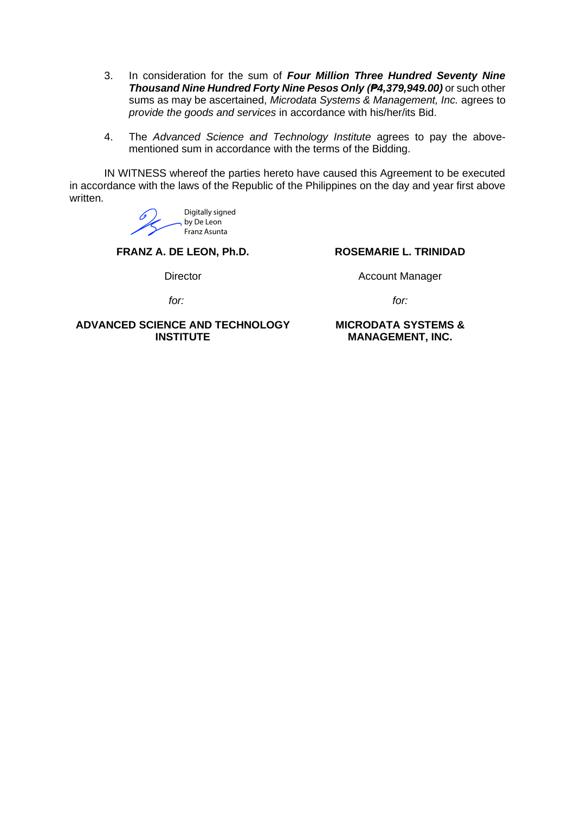- 3. In consideration for the sum of *Four Million Three Hundred Seventy Nine Thousand Nine Hundred Forty Nine Pesos Only (₱4,379,949.00)* or such other sums as may be ascertained, *Microdata Systems & Management, Inc.* agrees to *provide the goods and services* in accordance with his/her/its Bid.
- 4. The *Advanced Science and Technology Institute* agrees to pay the abovementioned sum in accordance with the terms of the Bidding.

IN WITNESS whereof the parties hereto have caused this Agreement to be executed in accordance with the laws of the Republic of the Philippines on the day and year first above written.



**FRANZ A. DE LEON, Ph.D.**

**Director** 

### **ROSEMARIE L. TRINIDAD**

Account Manager

 *for:*

#### **ADVANCED SCIENCE AND TECHNOLOGY INSTITUTE**

*for:*

#### **MICRODATA SYSTEMS & MANAGEMENT, INC.**